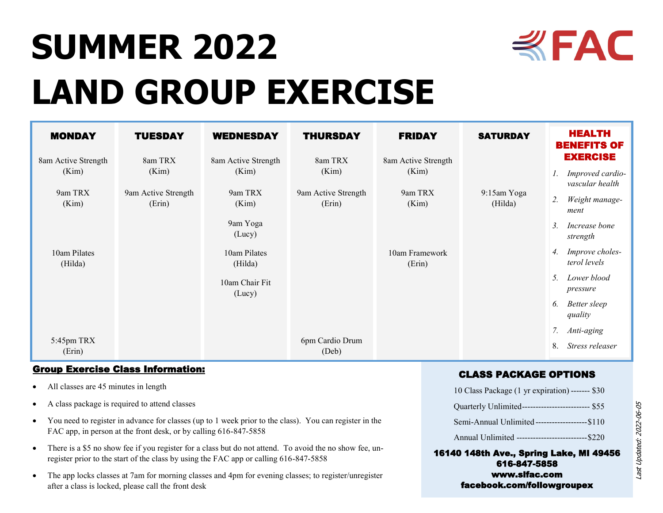

# **SUMMER 2022 LAND GROUP EXERCISE**

| <b>MONDAY</b>                | <b>TUESDAY</b>                | <b>WEDNESDAY</b>             | <b>THURSDAY</b>               | <b>FRIDAY</b>                | <b>SATURDAY</b>        | <b>HEALTH</b><br><b>BENEFITS OF</b>                          |
|------------------------------|-------------------------------|------------------------------|-------------------------------|------------------------------|------------------------|--------------------------------------------------------------|
| 8am Active Strength<br>(Kim) | 8am TRX<br>(Kim)              | 8am Active Strength<br>(Kim) | 8am TRX<br>(Kim)              | 8am Active Strength<br>(Kim) |                        | <b>EXERCISE</b><br>Improved cardio-<br>Ι.<br>vascular health |
| 9am TRX<br>(Kim)             | 9am Active Strength<br>(Erin) | 9am TRX<br>(Kim)             | 9am Active Strength<br>(Erin) | 9am TRX<br>(Kim)             | 9:15am Yoga<br>(Hilda) | Weight manage-<br>2.<br>ment                                 |
|                              |                               | 9am Yoga<br>(Lucy)           |                               |                              |                        | 3.<br>Increase bone<br>strength                              |
| 10am Pilates<br>(Hilda)      |                               | 10am Pilates<br>(Hilda)      |                               | 10am Framework<br>(Erin)     |                        | Improve choles-<br>4.<br>terol levels                        |
|                              |                               | 10am Chair Fit<br>(Lucy)     |                               |                              |                        | Lower blood<br>5.<br>pressure                                |
|                              |                               |                              |                               |                              |                        | <b>Better</b> sleep<br>6.<br>quality                         |
|                              |                               |                              |                               |                              |                        | 7.<br>Anti-aging                                             |
| 5:45pm TRX<br>(Erin)         |                               |                              | 6pm Cardio Drum<br>(Deb)      |                              |                        | Stress releaser<br>8.                                        |

## Group Exercise Class Information:

- All classes are 45 minutes in length
- A class package is required to attend classes
- You need to register in advance for classes (up to 1 week prior to the class). You can register in the FAC app, in person at the front desk, or by calling 616-847-5858
- There is a \$5 no show fee if you register for a class but do not attend. To avoid the no show fee, unregister prior to the start of the class by using the FAC app or calling 616-847-5858
- The app locks classes at 7am for morning classes and 4pm for evening classes; to register/unregister after a class is locked, please call the front desk

## CLASS PACKAGE OPTIONS

| 10 Class Package (1 yr expiration) ------- \$30    |
|----------------------------------------------------|
| Quarterly Unlimited-------------------------- \$55 |
| Semi-Annual Unlimited --------------------\$110    |
| Annual Unlimited ---------------------------\$220  |

#### 16140 148th Ave., Spring Lake, MI 49456 616-847-5858 www.slfac.com facebook.com/followgroupex